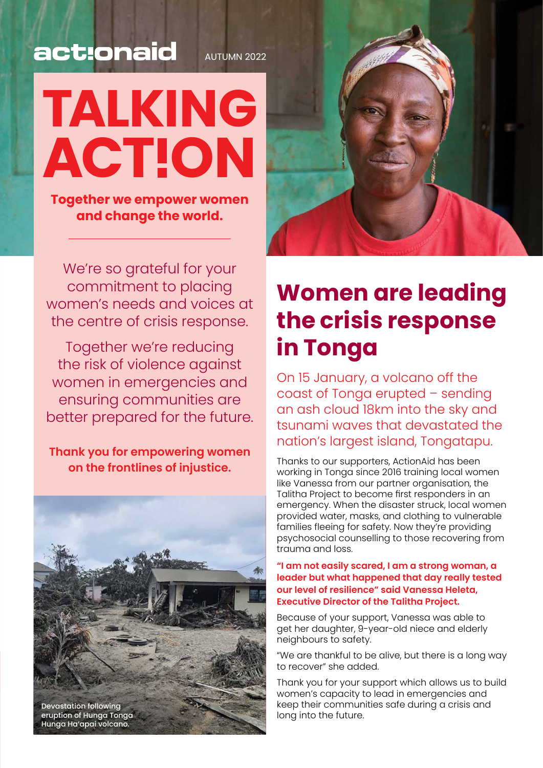### act:onaid

# **TALKING ACTION**

**Together we empower women and change the world.**

We're so grateful for your commitment to placing women's needs and voices at the centre of crisis response.

Together we're reducing the risk of violence against women in emergencies and ensuring communities are better prepared for the future.

**Thank you for empowering women on the frontlines of injustice.**





### **Women are leading the crisis response in Tonga**

On 15 January, a volcano off the coast of Tonga erupted – sending an ash cloud 18km into the sky and tsunami waves that devastated the nation's largest island, Tongatapu.

Thanks to our supporters, ActionAid has been working in Tonga since 2016 training local women like Vanessa from our partner organisation, the Talitha Project to become first responders in an emergency. When the disaster struck, local women provided water, masks, and clothing to vulnerable families fleeing for safety. Now they're providing psychosocial counselling to those recovering from trauma and loss.

#### **"I am not easily scared, I am a strong woman, a leader but what happened that day really tested our level of resilience" said Vanessa Heleta, Executive Director of the Talitha Project.**

Because of your support, Vanessa was able to get her daughter, 9-year-old niece and elderly neighbours to safety.

"We are thankful to be alive, but there is a long way to recover" she added.

Thank you for your support which allows us to build women's capacity to lead in emergencies and keep their communities safe during a crisis and long into the future.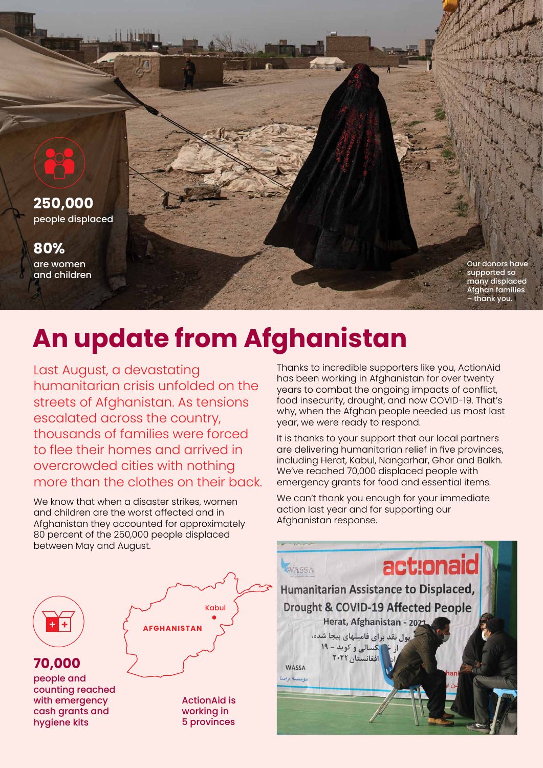

## **An update from Afghanistan**

Last August, a devastating humanitarian crisis unfolded on the streets of Afghanistan. As tensions escalated across the country, thousands of families were forced to flee their homes and arrived in overcrowded cities with nothing more than the clothes on their back.

We know that when a disaster strikes, women and children are the worst affected and in Afghanistan they accounted for approximately 80 percent of the 250,000 people displaced between May and August.

Thanks to incredible supporters like you, ActionAid has been working in Afghanistan for over twenty years to combat the ongoing impacts of conflict, food insecurity, drought, and now COVID-19. That's why, when the Afghan people needed us most last year, we were ready to respond.

It is thanks to your support that our local partners are delivering humanitarian relief in five provinces, including Herat, Kabul, Nangarhar, Ghor and Balkh. We've reached 70,000 displaced people with emergency grants for food and essential items.

We can't thank you enough for your immediate action last year and for supporting our Afghanistan response.



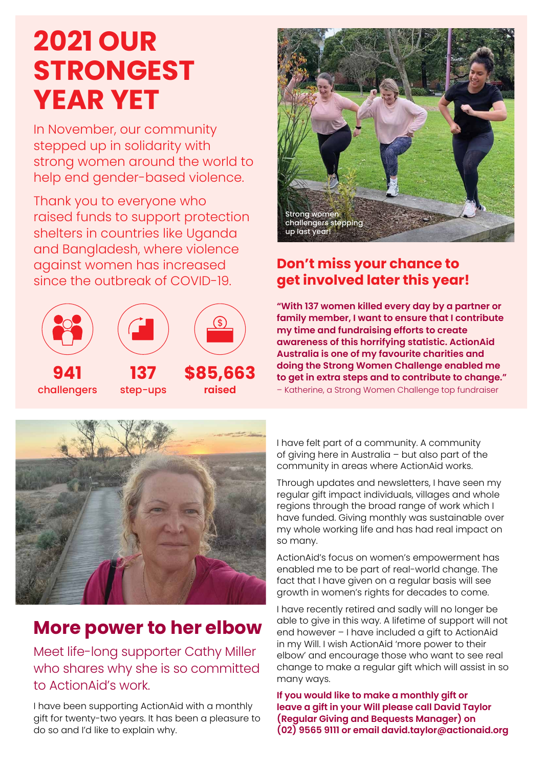# **2021 OUR STRONGEST YEAR YET**

In November, our community stepped up in solidarity with strong women around the world to help end gender-based violence.

Thank you to everyone who raised funds to support protection shelters in countries like Uganda and Bangladesh, where violence against women has increased since the outbreak of COVID-19.





### **Don't miss your chance to get involved later this year!**

**"With 137 women killed every day by a partner or family member, I want to ensure that I contribute my time and fundraising efforts to create awareness of this horrifying statistic. ActionAid Australia is one of my favourite charities and doing the Strong Women Challenge enabled me to get in extra steps and to contribute to change."**  – Katherine, a Strong Women Challenge top fundraiser



### **More power to her elbow**

Meet life-long supporter Cathy Miller who shares why she is so committed to ActionAid's work.

I have been supporting ActionAid with a monthly gift for twenty-two years. It has been a pleasure to do so and I'd like to explain why.

I have felt part of a community. A community of giving here in Australia – but also part of the community in areas where ActionAid works.

Through updates and newsletters, I have seen my regular gift impact individuals, villages and whole regions through the broad range of work which I have funded. Giving monthly was sustainable over my whole working life and has had real impact on so many.

ActionAid's focus on women's empowerment has enabled me to be part of real-world change. The fact that I have given on a regular basis will see growth in women's rights for decades to come.

I have recently retired and sadly will no longer be able to give in this way. A lifetime of support will not end however – I have included a gift to ActionAid in my Will. I wish ActionAid 'more power to their elbow' and encourage those who want to see real change to make a regular gift which will assist in so many ways.

**If you would like to make a monthly gift or leave a gift in your Will please call David Taylor (Regular Giving and Bequests Manager) on (02) 9565 9111 or email david.taylor@actionaid.org**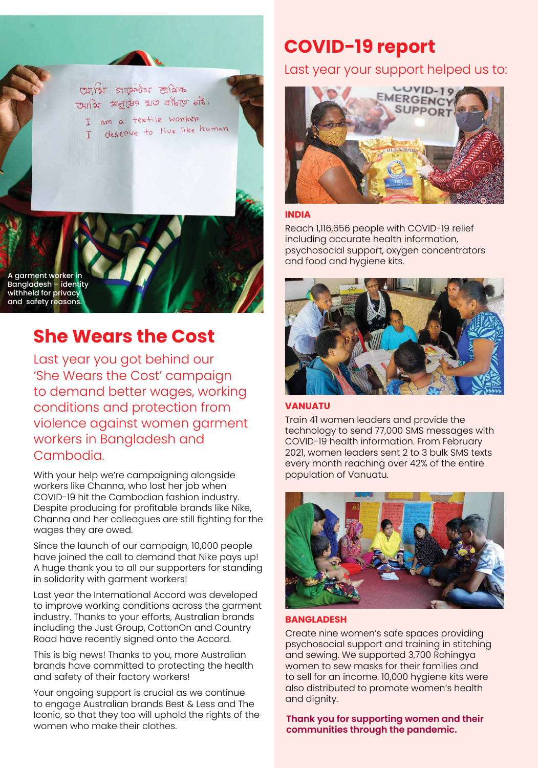

A garment worker in Bangladesh – identity withheld for privacy and safety reasons.

### **She Wears the Cost**

Last year you got behind our 'She Wears the Cost' campaign to demand better wages, working conditions and protection from violence against women garment workers in Bangladesh and Cambodia.

With your help we're campaigning alongside workers like Channa, who lost her job when COVID-19 hit the Cambodian fashion industry. Despite producing for profitable brands like Nike, Channa and her colleagues are still fighting for the wages they are owed.

Since the launch of our campaign, 10,000 people have joined the call to demand that Nike pays up! A huge thank you to all our supporters for standing in solidarity with garment workers!

Last year the International Accord was developed to improve working conditions across the garment industry. Thanks to your efforts, Australian brands including the Just Group, CottonOn and Country Road have recently signed onto the Accord.

This is big news! Thanks to you, more Australian brands have committed to protecting the health and safety of their factory workers!

Your ongoing support is crucial as we continue to engage Australian brands Best & Less and The Iconic, so that they too will uphold the rights of the women who make their clothes.

### **COVID-19 report**

Last year your support helped us to:



#### **INDIA**

Reach 1,116,656 people with COVID-19 relief including accurate health information, psychosocial support, oxygen concentrators and food and hygiene kits.



#### **VANUATU**

Train 41 women leaders and provide the technology to send 77,000 SMS messages with COVID-19 health information. From February 2021, women leaders sent 2 to 3 bulk SMS texts every month reaching over 42% of the entire population of Vanuatu.



#### **BANGLADESH**

Create nine women's safe spaces providing psychosocial support and training in stitching and sewing. We supported 3,700 Rohingya women to sew masks for their families and to sell for an income. 10,000 hygiene kits were also distributed to promote women's health and dignity.

**Thank you for supporting women and their communities through the pandemic.**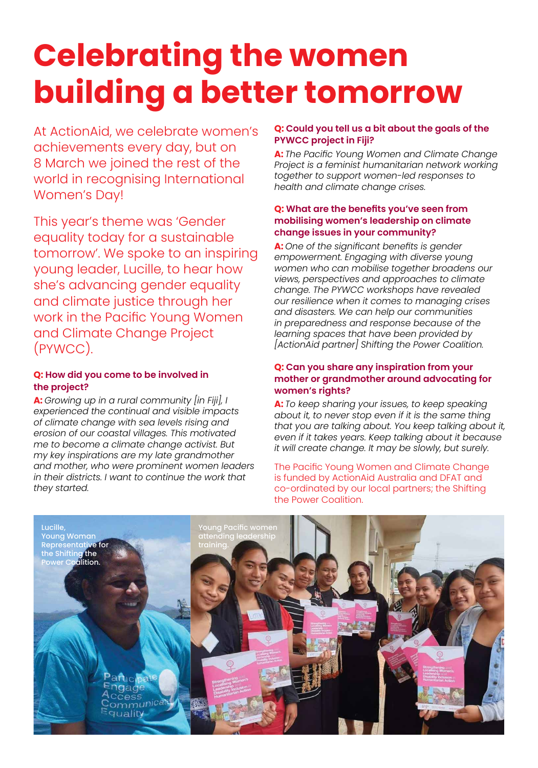# **Celebrating the women building a better tomorrow**

At ActionAid, we celebrate women's achievements every day, but on 8 March we joined the rest of the world in recognising International Women's Day!

This year's theme was 'Gender equality today for a sustainable tomorrow'. We spoke to an inspiring young leader, Lucille, to hear how she's advancing gender equality and climate justice through her work in the Pacific Young Women and Climate Change Project (PYWCC).

#### **Q: How did you come to be involved in the project?**

**A:** *Growing up in a rural community [in Fiji], I experienced the continual and visible impacts of climate change with sea levels rising and erosion of our coastal villages. This motivated me to become a climate change activist. But my key inspirations are my late grandmother and mother, who were prominent women leaders in their districts. I want to continue the work that they started.*

#### **Q: Could you tell us a bit about the goals of the PYWCC project in Fiji?**

**A:** *The Pacific Young Women and Climate Change Project is a feminist humanitarian network working together to support women-led responses to health and climate change crises.* 

#### **Q: What are the benefits you've seen from mobilising women's leadership on climate change issues in your community?**

**A:** *One of the significant benefits is gender empowerment. Engaging with diverse young women who can mobilise together broadens our views, perspectives and approaches to climate change. The PYWCC workshops have revealed our resilience when it comes to managing crises and disasters. We can help our communities in preparedness and response because of the learning spaces that have been provided by [ActionAid partner] Shifting the Power Coalition.*

#### **Q: Can you share any inspiration from your mother or grandmother around advocating for women's rights?**

**A:** *To keep sharing your issues, to keep speaking about it, to never stop even if it is the same thing that you are talking about. You keep talking about it, even if it takes years. Keep talking about it because it will create change. It may be slowly, but surely.* 

The Pacific Young Women and Climate Change is funded by ActionAid Australia and DFAT and co-ordinated by our local partners; the Shifting the Power Coalition.